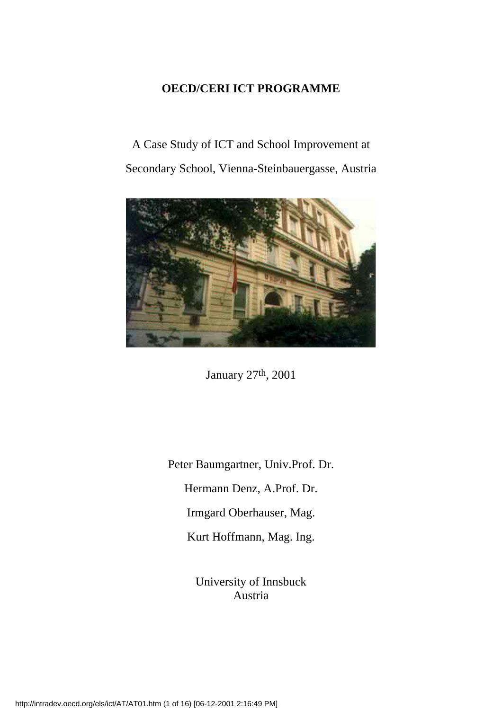### **OECD/CERI ICT PROGRAMME**

A Case Study of ICT and School Improvement at Secondary School, Vienna-Steinbauergasse, Austria



January 27th, 2001

Peter Baumgartner, Univ.Prof. Dr. Hermann Denz, A.Prof. Dr. Irmgard Oberhauser, Mag. Kurt Hoffmann, Mag. Ing.

> University of Innsbuck Austria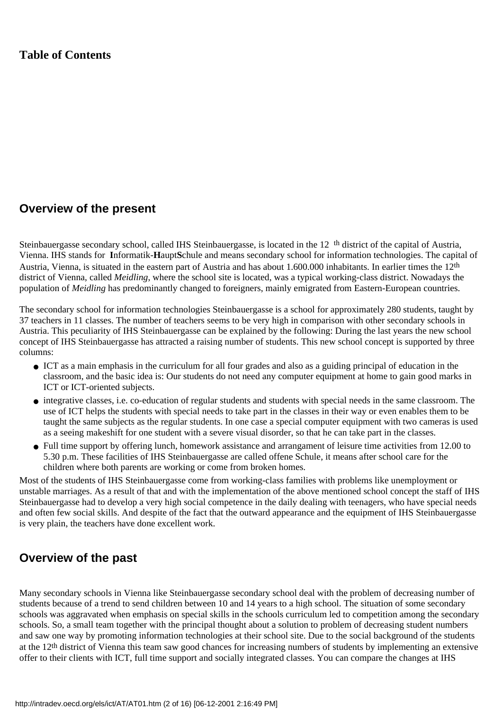#### **Table of Contents**

#### **Overview of the present**

Steinbauergasse secondary school, called IHS Steinbauergasse, is located in the 12th district of the capital of Austria, Vienna. IHS stands for **I**nformatik-**H**aupt**S**chule and means secondary school for information technologies. The capital of Austria, Vienna, is situated in the eastern part of Austria and has about 1.600.000 inhabitants. In earlier times the 12th district of Vienna, called *Meidling*, where the school site is located, was a typical working-class district. Nowadays the population of *Meidling* has predominantly changed to foreigners, mainly emigrated from Eastern-European countries.

The secondary school for information technologies Steinbauergasse is a school for approximately 280 students, taught by 37 teachers in 11 classes. The number of teachers seems to be very high in comparison with other secondary schools in Austria. This peculiarity of IHS Steinbauergasse can be explained by the following: During the last years the new school concept of IHS Steinbauergasse has attracted a raising number of students. This new school concept is supported by three columns:

- ICT as a main emphasis in the curriculum for all four grades and also as a guiding principal of education in the classroom, and the basic idea is: Our students do not need any computer equipment at home to gain good marks in ICT or ICT-oriented subjects.
- integrative classes, i.e. co-education of regular students and students with special needs in the same classroom. The use of ICT helps the students with special needs to take part in the classes in their way or even enables them to be taught the same subjects as the regular students. In one case a special computer equipment with two cameras is used as a seeing makeshift for one student with a severe visual disorder, so that he can take part in the classes.
- Full time support by offering lunch, homework assistance and arrangament of leisure time activities from 12.00 to 5.30 p.m. These facilities of IHS Steinbauergasse are called offene Schule, it means after school care for the children where both parents are working or come from broken homes.

Most of the students of IHS Steinbauergasse come from working-class families with problems like unemployment or unstable marriages. As a result of that and with the implementation of the above mentioned school concept the staff of IHS Steinbauergasse had to develop a very high social competence in the daily dealing with teenagers, who have special needs and often few social skills. And despite of the fact that the outward appearance and the equipment of IHS Steinbauergasse is very plain, the teachers have done excellent work.

### **Overview of the past**

Many secondary schools in Vienna like Steinbauergasse secondary school deal with the problem of decreasing number of students because of a trend to send children between 10 and 14 years to a high school. The situation of some secondary schools was aggravated when emphasis on special skills in the school s curriculum led to competition among the secondary schools. So, a small team together with the principal thought about a solution to problem of decreasing student numbers and saw one way by promoting information technologies at their school site. Due to the social background of the students at the 12th district of Vienna this team saw good chances for increasing numbers of students by implementing an extensive offer to their clients with ICT, full time support and socially integrated classes. You can compare the changes at IHS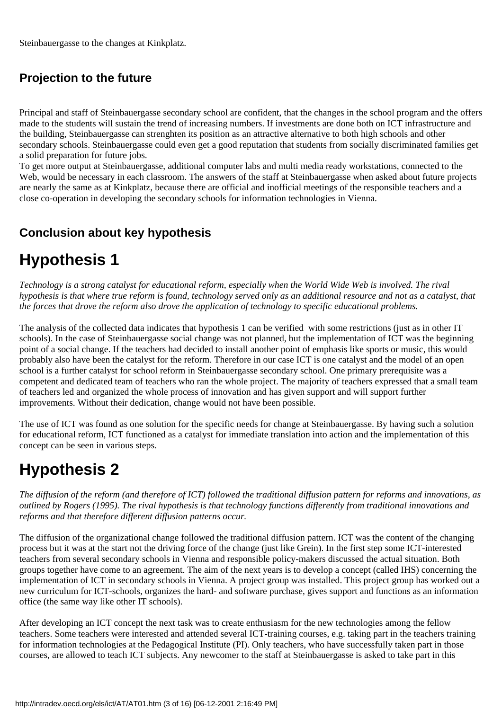Steinbauergasse to the changes at Kinkplatz.

## **Projection to the future**

Principal and staff of Steinbauergasse secondary school are confident, that the changes in the school program and the offers made to the students will sustain the trend of increasing numbers. If investments are done both on ICT infrastructure and the building, Steinbauergasse can strenghten its position as an attractive alternative to both high schools and other secondary schools. Steinbauergasse could even get a good reputation that students from socially discriminated families get a solid preparation for future jobs.

To get more output at Steinbauergasse, additional computer labs and multi media ready workstations, connected to the Web, would be necessary in each classroom. The answers of the staff at Steinbauergasse when asked about future projects are nearly the same as at Kinkplatz, because there are official and inofficial meetings of the responsible teachers and a close co-operation in developing the secondary schools for information technologies in Vienna.

## **Conclusion about key hypothesis**

# **Hypothesis 1**

*Technology is a strong catalyst for educational reform, especially when the World Wide Web is involved. The rival hypothesis is that where true reform is found, technology served only as an additional resource and not as a catalyst, that the forces that drove the reform also drove the application of technology to specific educational problems.*

The analysis of the collected data indicates that hypothesis 1 can be verified with some restrictions (just as in other IT schools). In the case of Steinbauergasse social change was not planned, but the implementation of ICT was the beginning point of a social change. If the teachers had decided to install another point of emphasis like sports or music, this would probably also have been the catalyst for the reform. Therefore in our case ICT is one catalyst and the model of an open school is a further catalyst for school reform in Steinbauergasse secondary school. One primary prerequisite was a competent and dedicated team of teachers who ran the whole project. The majority of teachers expressed that a small team of teachers led and organized the whole process of innovation and has given support and will support further improvements. Without their dedication, change would not have been possible.

The use of ICT was found as one solution for the specific needs for change at Steinbauergasse. By having such a solution for educational reform, ICT functioned as a catalyst for immediate translation into action and the implementation of this concept can be seen in various steps.

# **Hypothesis 2**

*The diffusion of the reform (and therefore of ICT) followed the traditional diffusion pattern for reforms and innovations, as outlined by Rogers (1995). The rival hypothesis is that technology functions differently from traditional innovations and reforms and that therefore different diffusion patterns occur.*

The diffusion of the organizational change followed the traditional diffusion pattern. ICT was the content of the changing process but it was at the start not the driving force of the change (just like Grein). In the first step some ICT-interested teachers from several secondary schools in Vienna and responsible policy-makers discussed the actual situation. Both groups together have come to an agreement. The aim of the next years is to develop a concept (called IHS) concerning the implementation of ICT in secondary schools in Vienna. A project group was installed. This project group has worked out a new curriculum for ICT-schools, organizes the hard- and software purchase, gives support and functions as an information office (the same way like other IT schools).

After developing an ICT concept the next task was to create enthusiasm for the new technologies among the fellow teachers. Some teachers were interested and attended several ICT-training courses, e.g. taking part in the teachers training for information technologies at the Pedagogical Institute (PI). Only teachers, who have successfully taken part in those courses, are allowed to teach ICT subjects. Any newcomer to the staff at Steinbauergasse is asked to take part in this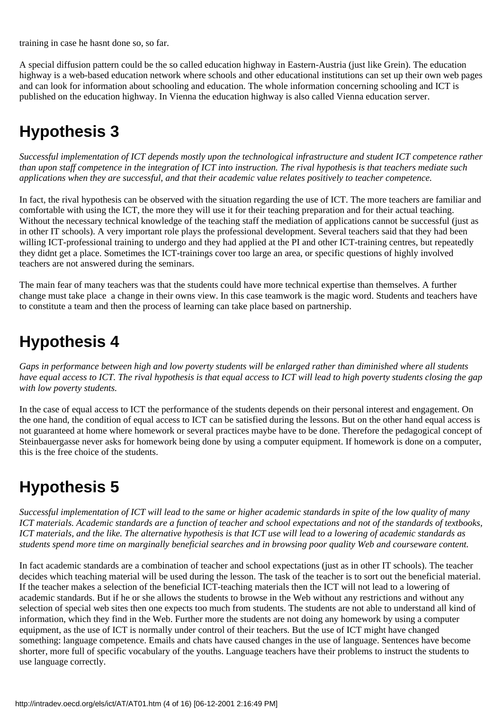training in case he hasnt done so, so far.

A special diffusion pattern could be the so called education highway in Eastern-Austria (just like Grein). The education highway is a web-based education network where schools and other educational institutions can set up their own web pages and can look for information about schooling and education. The whole information concerning schooling and ICT is published on the education highway. In Vienna the education highway is also called Vienna education server.

## **Hypothesis 3**

*Successful implementation of ICT depends mostly upon the technological infrastructure and student ICT competence rather than upon staff competence in the integration of ICT into instruction. The rival hypothesis is that teachers mediate such applications when they are successful, and that their academic value relates positively to teacher competence.*

In fact, the rival hypothesis can be observed with the situation regarding the use of ICT. The more teachers are familiar and comfortable with using the ICT, the more they will use it for their teaching preparation and for their actual teaching. Without the necessary technical knowledge of the teaching staff the mediation of applications cannot be successful (just as in other IT schools). A very important role plays the professional development. Several teachers said that they had been willing ICT-professional training to undergo and they had applied at the PI and other ICT-training centres, but repeatedly they didnt get a place. Sometimes the ICT-trainings cover too large an area, or specific questions of highly involved teachers are not answered during the seminars.

The main fear of many teachers was that the students could have more technical expertise than themselves. A further change must take place a change in their owns view. In this case teamwork is the magic word. Students and teachers have to constitute a team and then the process of learning can take place based on partnership.

## **Hypothesis 4**

*Gaps in performance between high and low poverty students will be enlarged rather than diminished where all students have equal access to ICT. The rival hypothesis is that equal access to ICT will lead to high poverty students closing the gap with low poverty students.*

In the case of equal access to ICT the performance of the students depends on their personal interest and engagement. On the one hand, the condition of equal access to ICT can be satisfied during the lessons. But on the other hand equal access is not guaranteed at home where homework or several practices maybe have to be done. Therefore the pedagogical concept of Steinbauergasse never asks for homework being done by using a computer equipment. If homework is done on a computer, this is the free choice of the students.

# **Hypothesis 5**

*Successful implementation of ICT will lead to the same or higher academic standards in spite of the low quality of many ICT materials. Academic standards are a function of teacher and school expectations and not of the standards of textbooks, ICT materials, and the like. The alternative hypothesis is that ICT use will lead to a lowering of academic standards as students spend more time on marginally beneficial searches and in browsing poor quality Web and courseware content.*

In fact academic standards are a combination of teacher and school expectations (just as in other IT schools). The teacher decides which teaching material will be used during the lesson. The task of the teacher is to sort out the beneficial material. If the teacher makes a selection of the beneficial ICT-teaching materials then the ICT will not lead to a lowering of academic standards. But if he or she allows the students to browse in the Web without any restrictions and without any selection of special web sites then one expects too much from students. The students are not able to understand all kind of information, which they find in the Web. Further more the students are not doing any homework by using a computer equipment, as the use of ICT is normally under control of their teachers. But the use of ICT might have changed something: language competence. Emails and chats have caused changes in the use of language. Sentences have become shorter, more full of specific vocabulary of the youths. Language teachers have their problems to instruct the students to use language correctly.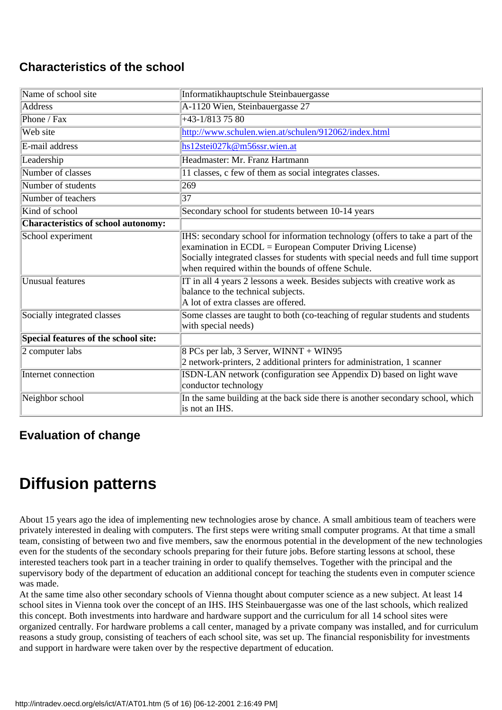### **Characteristics of the school**

| Name of school site                  | Informatikhauptschule Steinbauergasse                                                                                                                                                                                                                                                |
|--------------------------------------|--------------------------------------------------------------------------------------------------------------------------------------------------------------------------------------------------------------------------------------------------------------------------------------|
| Address                              | A-1120 Wien, Steinbauergasse 27                                                                                                                                                                                                                                                      |
| Phone / $\overline{\text{P}ax}$      | $+43-1/8137580$                                                                                                                                                                                                                                                                      |
| Web site                             | http://www.schulen.wien.at/schulen/912062/index.html                                                                                                                                                                                                                                 |
| E-mail address                       | hs12stei027k@m56ssr.wien.at                                                                                                                                                                                                                                                          |
| Leadership                           | Headmaster: Mr. Franz Hartmann                                                                                                                                                                                                                                                       |
| Number of classes                    | 11 classes, c few of them as social integrates classes.                                                                                                                                                                                                                              |
| Number of students                   | 269                                                                                                                                                                                                                                                                                  |
| Number of teachers                   | 37                                                                                                                                                                                                                                                                                   |
| Kind of school                       | Secondary school for students between 10-14 years                                                                                                                                                                                                                                    |
| Characteristics of school autonomy:  |                                                                                                                                                                                                                                                                                      |
| School experiment                    | IHS: secondary school for information technology (offers to take a part of the<br>examination in ECDL = European Computer Driving License)<br>Socially integrated classes for students with special needs and full time support<br>when required within the bounds of offene Schule. |
| Unusual features                     | IT in all 4 years 2 lessons a week. Besides subjects with creative work as<br>balance to the technical subjects.<br>A lot of extra classes are offered.                                                                                                                              |
| Socially integrated classes          | Some classes are taught to both (co-teaching of regular students and students<br>with special needs)                                                                                                                                                                                 |
| Special features of the school site: |                                                                                                                                                                                                                                                                                      |
| 2 computer labs                      | 8 PC s per lab, 3 Server, WINNT + WIN95<br>2 network-printers, 2 additional printers for administration, 1 scanner                                                                                                                                                                   |
| Internet connection                  | ISDN-LAN network (configuration see Appendix D) based on light wave<br>conductor technology                                                                                                                                                                                          |
| Neighbor school                      | In the same building at the back side there is another secondary school, which<br>is not an IHS.                                                                                                                                                                                     |

### **Evaluation of change**

## **Diffusion patterns**

About 15 years ago the idea of implementing new technologies arose by chance. A small ambitious team of teachers were privately interested in dealing with computers. The first steps were writing small computer programs. At that time a small team, consisting of between two and five members, saw the enormous potential in the development of the new technologies even for the students of the secondary schools preparing for their future jobs. Before starting lessons at school, these interested teachers took part in a teacher training in order to qualify themselves. Together with the principal and the supervisory body of the department of education an additional concept for teaching the students even in computer science was made.

At the same time also other secondary schools of Vienna thought about computer science as a new subject. At least 14 school sites in Vienna took over the concept of an IHS. IHS Steinbauergasse was one of the last schools, which realized this concept. Both investments into hardware and hardware support and the curriculum for all 14 school sites were organized centrally. For hardware problems a call center, managed by a private company was installed, and for curriculum reasons a study group, consisting of teachers of each school site, was set up. The financial responisbility for investments and support in hardware were taken over by the respective department of education.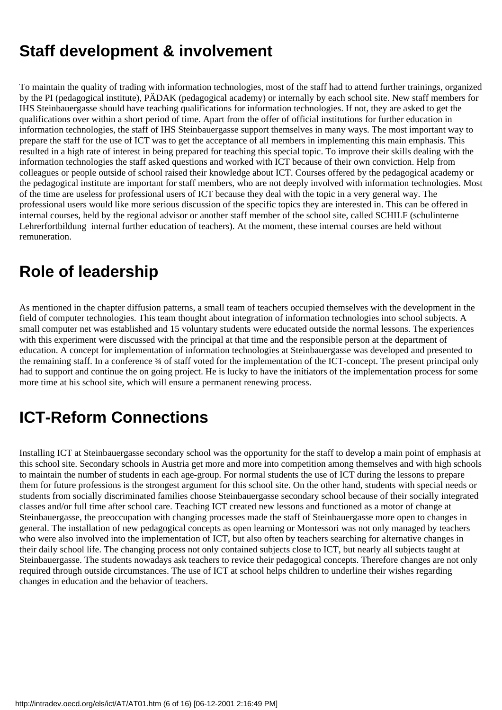## **Staff development & involvement**

To maintain the quality of trading with information technologies, most of the staff had to attend further trainings, organized by the PI (pedagogical institute), PÄDAK (pedagogical academy) or internally by each school site. New staff members for IHS Steinbauergasse should have teaching qualifications for information technologies. If not, they are asked to get the qualifications over within a short period of time. Apart from the offer of official institutions for further education in information technologies, the staff of IHS Steinbauergasse support themselves in many ways. The most important way to prepare the staff for the use of ICT was to get the acceptance of all members in implementing this main emphasis. This resulted in a high rate of interest in being prepared for teaching this special topic. To improve their skills dealing with the information technologies the staff asked questions and worked with ICT because of their own conviction. Help from colleagues or people outside of school raised their knowledge about ICT. Courses offered by the pedagogical academy or the pedagogical institute are important for staff members, who are not deeply involved with information technologies. Most of the time are useless for professional users of ICT because they deal with the topic in a very general way. The professional users would like more serious discussion of the specific topics they are interested in. This can be offered in internal courses, held by the regional advisor or another staff member of the school site, called SCHILF (schulinterne Lehrerfortbildung internal further education of teachers). At the moment, these internal courses are held without remuneration.

## **Role of leadership**

As mentioned in the chapter diffusion patterns, a small team of teachers occupied themselves with the development in the field of computer technologies. This team thought about integration of information technologies into school subjects. A small computer net was established and 15 voluntary students were educated outside the normal lessons. The experiences with this experiment were discussed with the principal at that time and the responsible person at the department of education. A concept for implementation of information technologies at Steinbauergasse was developed and presented to the remaining staff. In a conference  $\frac{3}{4}$  of staff voted for the implementation of the ICT-concept. The present principal only had to support and continue the on going project. He is lucky to have the initiators of the implementation process for some more time at his school site, which will ensure a permanent renewing process.

# **ICT-Reform Connections**

Installing ICT at Steinbauergasse secondary school was the opportunity for the staff to develop a main point of emphasis at this school site. Secondary schools in Austria get more and more into competition among themselves and with high schools to maintain the number of students in each age-group. For normal students the use of ICT during the lessons to prepare them for future professions is the strongest argument for this school site. On the other hand, students with special needs or students from socially discriminated families choose Steinbauergasse secondary school because of their socially integrated classes and/or full time after school care. Teaching ICT created new lessons and functioned as a motor of change at Steinbauergasse, the preoccupation with changing processes made the staff of Steinbauergasse more open to changes in general. The installation of new pedagogical concepts as open learning or Montessori was not only managed by teachers who were also involved into the implementation of ICT, but also often by teachers searching for alternative changes in their daily school life. The changing process not only contained subjects close to ICT, but nearly all subjects taught at Steinbauergasse. The students nowadays ask teachers to revice their pedagogical concepts. Therefore changes are not only required through outside circumstances. The use of ICT at school helps children to underline their wishes regarding changes in education and the behavior of teachers.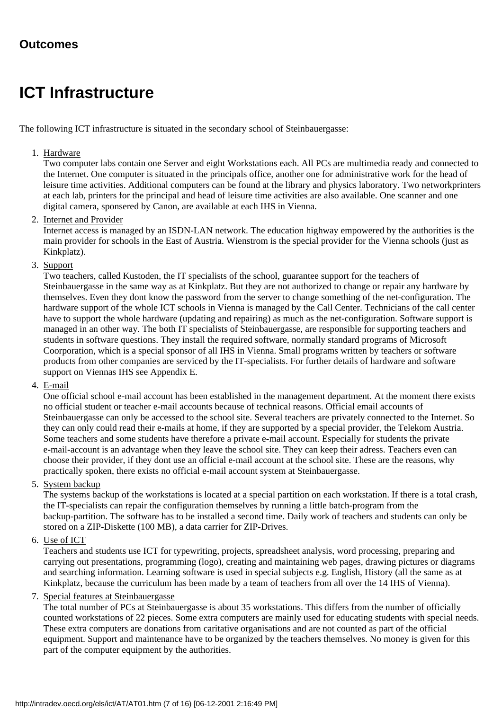### **Outcomes**

## **ICT Infrastructure**

The following ICT infrastructure is situated in the secondary school of Steinbauergasse:

#### 1. Hardware

Two computer labs contain one Server and eight Workstations each. All PC s are multimedia ready and connected to the Internet. One computer is situated in the principals office, another one for administrative work for the head of leisure time activities. Additional computers can be found at the library and physics laboratory. Two networkprinters at each lab, printers for the principal and head of leisure time activities are also available. One scanner and one digital camera, sponsered by Canon, are available at each IHS in Vienna.

#### 2. Internet and Provider

Internet access is managed by an ISDN-LAN network. The education highway empowered by the authorities is the main provider for schools in the East of Austria. Wienstrom is the special provider for the Vienna schools (just as Kinkplatz).

3. Support

Two teachers, called Kustoden, the IT specialists of the school, guarantee support for the teachers of Steinbauergasse in the same way as at Kinkplatz. But they are not authorized to change or repair any hardware by themselves. Even they dont know the password from the server to change something of the net-configuration. The hardware support of the whole ICT schools in Vienna is managed by the Call Center. Technicians of the call center have to support the whole hardware (updating and repairing) as much as the net-configuration. Software support is managed in an other way. The both IT specialists of Steinbauergasse, are responsible for supporting teachers and students in software questions. They install the required software, normally standard programs of Microsoft Coorporation, which is a special sponsor of all IHS in Vienna. Small programs written by teachers or software products from other companies are serviced by the IT-specialists. For further details of hardware and software support on Viennas IHS see Appendix E.

4. <u>E-mail</u>

One official school e-mail account has been established in the management department. At the moment there exists no official student or teacher e-mail accounts because of technical reasons. Official email accounts of Steinbauergasse can only be accessed to the school site. Several teachers are privately connected to the Internet. So they can only could read their e-mails at home, if they are supported by a special provider, the Telekom Austria. Some teachers and some students have therefore a private e-mail account. Especially for students the private e-mail-account is an advantage when they leave the school site. They can keep their adress. Teachers even can choose their provider, if they don t use an official e-mail account at the school site. These are the reasons, why practically spoken, there exists no official e-mail account system at Steinbauergasse.

5. System backup

The systems backup of the workstations is located at a special partition on each workstation. If there is a total crash, the IT-specialists can repair the configuration themselves by running a little batch-program from the backup-partition. The software has to be installed a second time. Daily work of teachers and students can only be stored on a ZIP-Diskette (100 MB), a data carrier for ZIP-Drives.

#### 6. Use of ICT

Teachers and students use ICT for typewriting, projects, spreadsheet analysis, word processing, preparing and carrying out presentations, programming (logo), creating and maintaining web pages, drawing pictures or diagrams and searching information. Learning software is used in special subjects e.g. English, History (all the same as at Kinkplatz, because the curriculum has been made by a team of teachers from all over the 14 IHS of Vienna).

#### 7. Special features at Steinbauergasse

The total number of PC s at Steinbauergasse is about 35 workstations. This differs from the number of officially counted workstations of 22 pieces. Some extra computers are mainly used for educating students with special needs. These extra computers are donations from caritative organisations and are not counted as part of the official equipment. Support and maintenance have to be organized by the teachers themselves. No money is given for this part of the computer equipment by the authorities.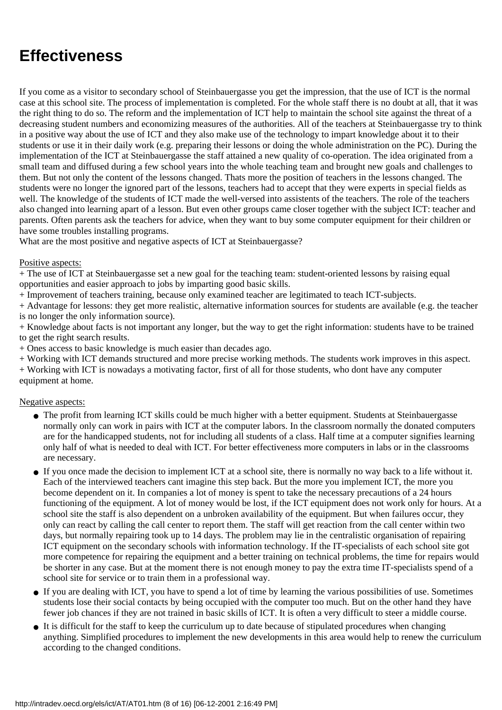## **Effectiveness**

If you come as a visitor to secondary school of Steinbauergasse you get the impression, that the use of ICT is the normal case at this school site. The process of implementation is completed. For the whole staff there is no doubt at all, that it was the right thing to do so. The reform and the implementation of ICT help to maintain the school site against the threat of a decreasing student numbers and economizing measures of the authorities. All of the teachers at Steinbauergasse try to think in a positive way about the use of ICT and they also make use of the technology to impart knowledge about it to their students or use it in their daily work (e.g. preparing their lessons or doing the whole administration on the PC). During the implementation of the ICT at Steinbauergasse the staff attained a new quality of co-operation. The idea originated from a small team and diffused during a few school years into the whole teaching team and brought new goals and challenges to them. But not only the content of the lessons changed. That s more the position of teachers in the lessons changed. The students were no longer the ignored part of the lessons, teachers had to accept that they were experts in special fields as well. The knowledge of the students of ICT made the well-versed into assistents of the teachers. The role of the teachers also changed into learning apart of a lesson. But even other groups came closer together with the subject ICT: teacher and parents. Often parents ask the teachers for advice, when they want to buy some computer equipment for their children or have some troubles installing programs.

What are the most positive and negative aspects of ICT at Steinbauergasse?

#### Positive aspects:

+ The use of ICT at Steinbauergasse set a new goal for the teaching team: student-oriented lessons by raising equal opportunities and easier approach to jobs by imparting good basic skills.

+ Improvement of teachers training, because only examined teacher are legitimated to teach ICT-subjects.

+ Advantage for lessons: they get more realistic, alternative information sources for students are available (e.g. the teacher is no longer the only information source).

+ Knowledge about facts is not important any longer, but the way to get the right information: students have to be trained to get the right search results.

+ Ones access to basic knowledge is much easier than decades ago.

+ Working with ICT demands structured and more precise working methods. The students work improves in this aspect. + Working with ICT is nowadays a motivating factor, first of all for those students, who dont have any computer equipment at home.

#### Negative aspects:

- The profit from learning ICT skills could be much higher with a better equipment. Students at Steinbauergasse normally only can work in pairs with ICT at the computer labors. In the classroom normally the donated computers are for the handicapped students, not for including all students of a class. Half time at a computer signifies learning only half of what is needed to deal with ICT. For better effectiveness more computers in labs or in the classrooms are necessary.
- If you once made the decision to implement ICT at a school site, there is normally no way back to a life without it. Each of the interviewed teachers cant imagine this step back. But the more you implement ICT, the more you become dependent on it. In companies a lot of money is spent to take the necessary precautions of a 24 hours functioning of the equipment. A lot of money would be lost, if the ICT equipment does not work only for hours. At a school site the staff is also dependent on a unbroken availability of the equipment. But when failures occur, they only can react by calling the call center to report them. The staff will get reaction from the call center within two days, but normally repairing took up to 14 days. The problem may lie in the centralistic organisation of repairing ICT equipment on the secondary schools with information technology. If the IT-specialists of each school site got more competence for repairing the equipment and a better training on technical problems, the time for repairs would be shorter in any case. But at the moment there is not enough money to pay the extra time IT-specialists spend of a school site for service or to train them in a professional way.
- If you are dealing with ICT, you have to spend a lot of time by learning the various possibilities of use. Sometimes students lose their social contacts by being occupied with the computer too much. But on the other hand they have fewer job chances if they are not trained in basic skills of ICT. It is often a very difficult to steer a middle course.
- It is difficult for the staff to keep the curriculum up to date because of stipulated procedures when changing anything. Simplified procedures to implement the new developments in this area would help to renew the curriculum according to the changed conditions.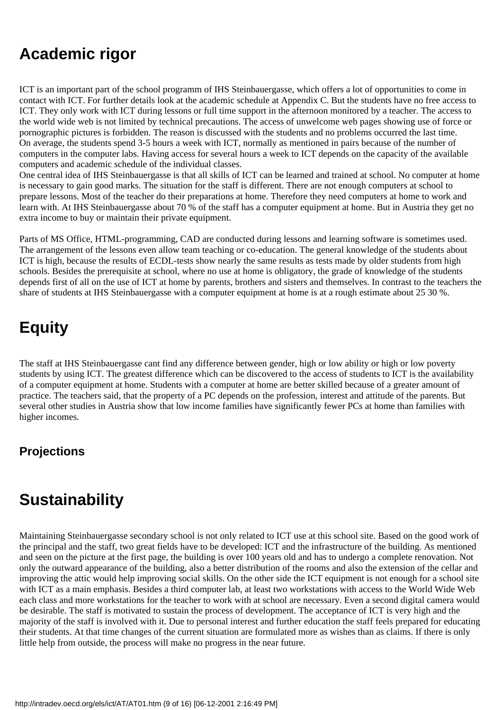## **Academic rigor**

ICT is an important part of the school programm of IHS Steinbauergasse, which offers a lot of opportunities to come in contact with ICT. For further details look at the academic schedule at Appendix C. But the students have no free access to ICT. They only work with ICT during lessons or full time support in the afternoon monitored by a teacher. The access to the world wide web is not limited by technical precautions. The access of unwelcome web pages showing use of force or pornographic pictures is forbidden. The reason is discussed with the students and no problems occurred the last time. On average, the students spend 3-5 hours a week with ICT, normally as mentioned in pairs because of the number of computers in the computer labs. Having access for several hours a week to ICT depends on the capacity of the available computers and academic schedule of the individual classes.

One central idea of IHS Steinbauergasse is that all skills of ICT can be learned and trained at school. No computer at home is necessary to gain good marks. The situation for the staff is different. There are not enough computers at school to prepare lessons. Most of the teacher do their preparations at home. Therefore they need computers at home to work and learn with. At IHS Steinbauergasse about 70 % of the staff has a computer equipment at home. But in Austria they get no extra income to buy or maintain their private equipment.

Parts of MS Office, HTML-programming, CAD are conducted during lessons and learning software is sometimes used. The arrangement of the lessons even allow team teaching or co-education. The general knowledge of the students about ICT is high, because the results of ECDL-tests show nearly the same results as tests made by older students from high schools. Besides the prerequisite at school, where no use at home is obligatory, the grade of knowledge of the students depends first of all on the use of ICT at home by parents, brothers and sisters and themselves. In contrast to the teachers the share of students at IHS Steinbauergasse with a computer equipment at home is at a rough estimate about 25 30 %.

# **Equity**

The staff at IHS Steinbauergasse cant find any difference between gender, high or low ability or high or low poverty students by using ICT. The greatest difference which can be discovered to the access of students to ICT is the availability of a computer equipment at home. Students with a computer at home are better skilled because of a greater amount of practice. The teachers said, that the property of a PC depends on the profession, interest and attitude of the parents. But several other studies in Austria show that low income families have significantly fewer PC s at home than families with higher incomes.

### **Projections**

## **Sustainability**

Maintaining Steinbauergasse secondary school is not only related to ICT use at this school site. Based on the good work of the principal and the staff, two great fields have to be developed: ICT and the infrastructure of the building. As mentioned and seen on the picture at the first page, the building is over 100 years old and has to undergo a complete renovation. Not only the outward appearance of the building, also a better distribution of the rooms and also the extension of the cellar and improving the attic would help improving social skills. On the other side the ICT equipment is not enough for a school site with ICT as a main emphasis. Besides a third computer lab, at least two workstations with access to the World Wide Web each class and more workstations for the teacher to work with at school are necessary. Even a second digital camera would be desirable. The staff is motivated to sustain the process of development. The acceptance of ICT is very high and the majority of the staff is involved with it. Due to personal interest and further education the staff feels prepared for educating their students. At that time changes of the current situation are formulated more as wishes than as claims. If there is only little help from outside, the process will make no progress in the near future.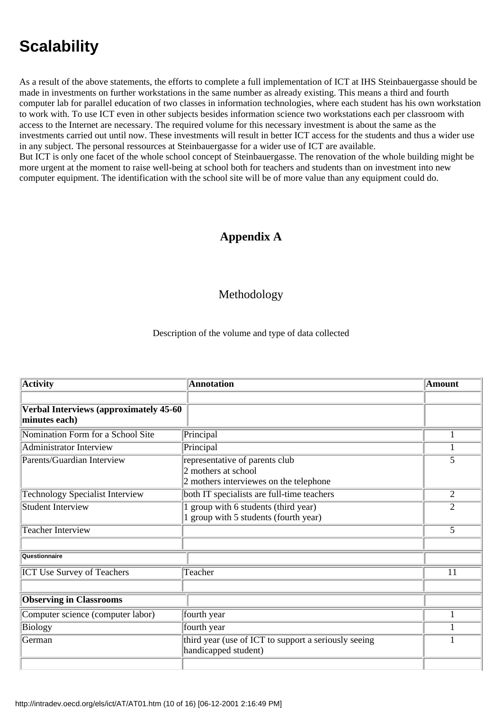# **Scalability**

As a result of the above statements, the efforts to complete a full implementation of ICT at IHS Steinbauergasse should be made in investments on further workstations in the same number as already existing. This means a third and fourth computer lab for parallel education of two classes in information technologies, where each student has his own workstation to work with. To use ICT even in other subjects besides information science two workstations each per classroom with access to the Internet are necessary. The required volume for this necessary investment is about the same as the investments carried out until now. These investments will result in better ICT access for the students and thus a wider use in any subject. The personal ressources at Steinbauergasse for a wider use of ICT are available. But ICT is only one facet of the whole school concept of Steinbauergasse. The renovation of the whole building might be more urgent at the moment to raise well-being at school both for teachers and students than on investment into new computer equipment. The identification with the school site will be of more value than any equipment could do.

### **Appendix A**

#### Methodology

#### Description of the volume and type of data collected

| <b>Activity</b>                        | <b>Annotation</b>                                    | <b>Amount</b>  |
|----------------------------------------|------------------------------------------------------|----------------|
|                                        |                                                      |                |
| Verbal Interviews (approximately 45-60 |                                                      |                |
| minutes each)                          |                                                      |                |
| Nomination Form for a School Site      | Principal                                            |                |
| Administrator Interview                | Principal                                            | 1              |
| Parents/Guardian Interview             | representative of parents club                       | 5              |
|                                        | 2 mothers at school                                  |                |
|                                        | 2 mothers interviewes on the telephone               |                |
| <b>Technology Specialist Interview</b> | both IT specialists are full-time teachers           | $\overline{2}$ |
| <b>Student Interview</b>               | group with 6 students (third year)                   | 2              |
|                                        | 1 group with 5 students (fourth year)                |                |
| <b>Teacher Interview</b>               |                                                      | 5              |
|                                        |                                                      |                |
| Questionnaire                          |                                                      |                |
| <b>ICT Use Survey of Teachers</b>      | Teacher                                              | 11             |
|                                        |                                                      |                |
| <b>Observing in Classrooms</b>         |                                                      |                |
| Computer science (computer labor)      | fourth year                                          |                |
| Biology                                | fourth year                                          |                |
| German                                 | third year (use of ICT to support a seriously seeing | 1              |
|                                        | handicapped student)                                 |                |
|                                        |                                                      |                |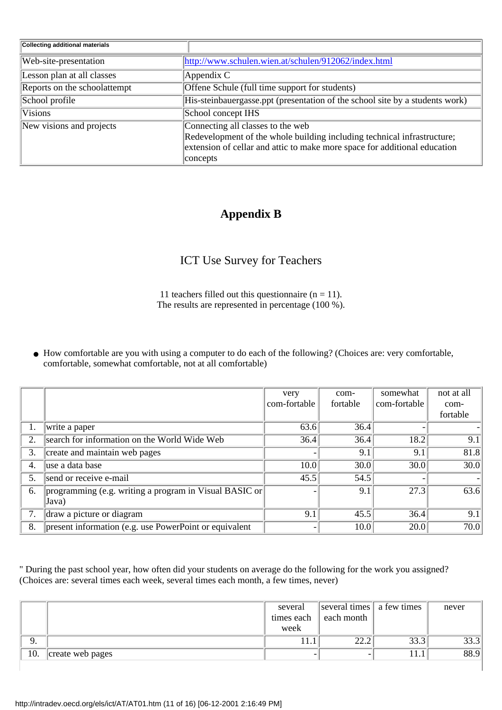| <b>Collecting additional materials</b> |                                                                              |
|----------------------------------------|------------------------------------------------------------------------------|
| Web-site-presentation                  | http://www.schulen.wien.at/schulen/912062/index.html                         |
| Lesson plan at all classes             | Appendix C                                                                   |
| Reports on the schoolattempt           | Offene Schule (full time support for students)                               |
| School profile                         | His-steinbauergasse.ppt (presentation of the school site by a students work) |
| <b>Visions</b>                         | School concept IHS                                                           |
| New visions and projects               | Connecting all classes to the web                                            |
|                                        | Redevelopment of the whole building including technical infrastructure;      |
|                                        | extension of cellar and attic to make more space for additional education    |
|                                        | concepts                                                                     |

### **Appendix B**

### ICT Use Survey for Teachers

11 teachers filled out this questionnaire ( $n = 11$ ). The results are represented in percentage (100 %).

How comfortable are you with using a computer to do each of the following? (Choices are: very comfortable, ● comfortable, somewhat comfortable, not at all comfortable)

|                                     |                                                                 | very         | com-     | somewhat     | not at all |
|-------------------------------------|-----------------------------------------------------------------|--------------|----------|--------------|------------|
|                                     |                                                                 | com-fortable | fortable | com-fortable | com-       |
|                                     |                                                                 |              |          |              | fortable   |
|                                     | write a paper                                                   | 63.6         | 36.4     |              |            |
| 2.                                  | search for information on the World Wide Web                    | 36.4         | 36.4     | 18.2         | 9.1        |
| create and maintain web pages<br>3. |                                                                 |              | 9.1      | 9.1          | 81.8       |
| luse a data base<br>4.              |                                                                 | 10.0         | 30.0     | 30.0         | 30.0       |
| 5.                                  | send or receive e-mail                                          | 45.5         | 54.5     |              |            |
| 6.                                  | programming (e.g. writing a program in Visual BASIC or<br>Java) |              | 9.1      | 27.3         | 63.6       |
| 7.                                  | draw a picture or diagram                                       | 9.1          | 45.5     | 36.4         | 9.1        |
| 8.                                  | present information (e.g. use PowerPoint or equivalent          |              | 10.0     | 20.0         | 70.0       |

" During the past school year, how often did your students on average do the following for the work you assigned? (Choices are: several times each week, several times each month, a few times, never)

|     |                  | several    | several times   a few times |      | never |
|-----|------------------|------------|-----------------------------|------|-------|
|     |                  | times each | each month                  |      |       |
|     |                  | week       |                             |      |       |
|     |                  |            | $\cap$ $\cap$               | 33.3 | 33.3  |
| 10. | create web pages |            |                             | 11.1 | 88.9  |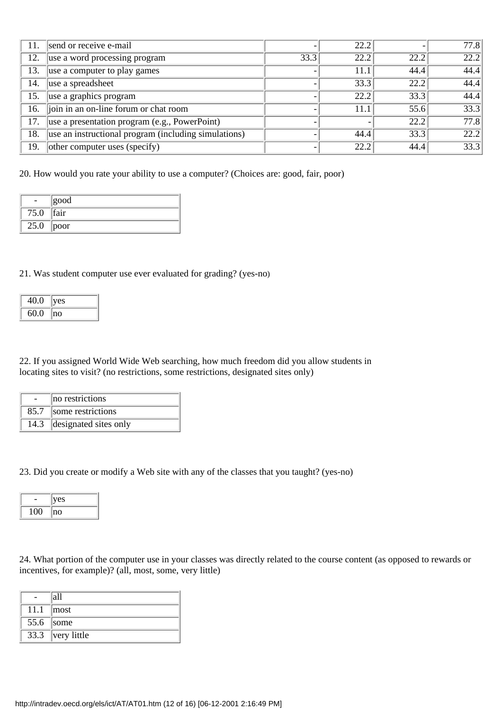| 11.                                      | send or receive e-mail                               |      | 22.2                     |      | 77.8 |
|------------------------------------------|------------------------------------------------------|------|--------------------------|------|------|
| 12.                                      | use a word processing program                        | 33.3 | 22.2                     | 22.2 | 22.2 |
| 13.                                      | use a computer to play games                         |      | 11.1                     | 44.4 | 44.4 |
| luse a spreadsheet<br>14.                |                                                      |      | $\overline{33.3}$        | 22.2 | 44.4 |
| $\sqrt{u}$ use a graphics program<br>15. |                                                      |      | 22.2                     | 33.3 | 44.4 |
| 16.                                      | join in an on-line forum or chat room                |      | 11.1                     | 55.6 | 33.3 |
| 17.                                      | use a presentation program (e.g., PowerPoint)        |      | $\overline{\phantom{0}}$ | 22.2 | 77.8 |
| 18.                                      | use an instructional program (including simulations) |      | 44.4                     | 33.3 | 22.2 |
| 19.                                      | other computer uses (specify)                        |      | 22.2                     | 44.4 | 33.3 |

20. How would you rate your ability to use a computer? (Choices are: good, fair, poor)

|      | good |
|------|------|
| 75.0 | fair |
| 25.0 | poor |

#### 21. Was student computer use ever evaluated for grading? (yes-no)

| 40.0 | ves |
|------|-----|
| 60.0 | no  |

22. If you assigned World Wide Web searching, how much freedom did you allow students in locating sites to visit? (no restrictions, some restrictions, designated sites only)

|      | no restrictions       |
|------|-----------------------|
| 85.7 | some restrictions     |
| 14.3 | designated sites only |

23. Did you create or modify a Web site with any of the classes that you taught? (yes-no)

|    | es |
|----|----|
| '' | ۱O |

24. What portion of the computer use in your classes was directly related to the course content (as opposed to rewards or incentives, for example)? (all, most, some, very little)

|      | lall                |
|------|---------------------|
| 11.1 | $\parallel$ most    |
|      | $55.6$ some         |
|      | 33.3 $ very$ little |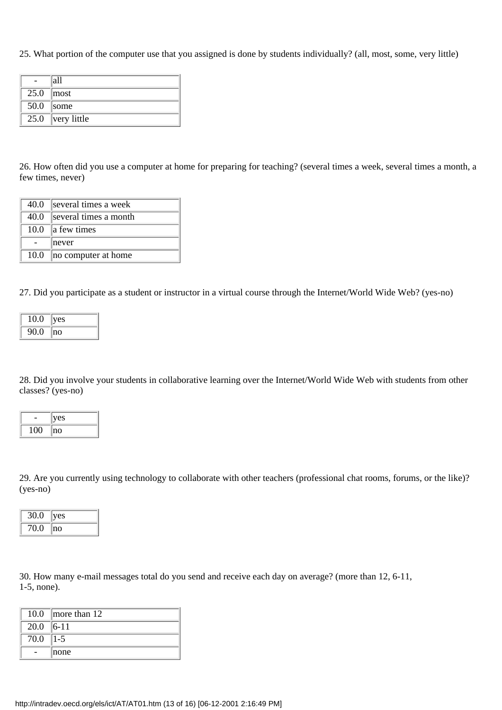25. What portion of the computer use that you assigned is done by students individually? (all, most, some, very little)

|      | all         |
|------|-------------|
| 25.0 | most        |
| 50.0 | some        |
| 25.0 | very little |

26. How often did you use a computer at home for preparing for teaching? (several times a week, several times a month, a few times, never)

| 40.0 | several times a week  |
|------|-----------------------|
| 40.0 | several times a month |
| 10.0 | a few times           |
|      | never                 |
| 10.0 | no computer at home   |

27. Did you participate as a student or instructor in a virtual course through the Internet/World Wide Web? (yes-no)

| 10.0 | ves |
|------|-----|
| 90.0 | no  |

28. Did you involve your students in collaborative learning over the Internet/World Wide Web with students from other classes? (yes-no)

|              | 'es |
|--------------|-----|
| $\mathbf{u}$ | no  |

29. Are you currently using technology to collaborate with other teachers (professional chat rooms, forums, or the like)? (yes-no)

| 30.0 | ves |
|------|-----|
| 70.0 | no  |

30. How many e-mail messages total do you send and receive each day on average? (more than 12, 6-11, 1-5, none).

| 10.0        | $\parallel$ more than 12 |
|-------------|--------------------------|
| $20.0$ 6-11 |                          |
| 70.0        | $ 1-5 $                  |
|             | none                     |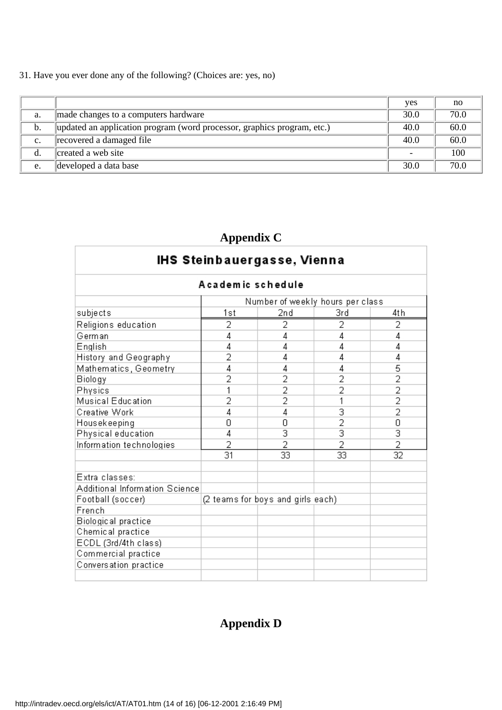31. Have you ever done any of the following? (Choices are: yes, no)

 $\Gamma$ 

|                |                                                                         | yes  | no   |
|----------------|-------------------------------------------------------------------------|------|------|
| a.             | made changes to a computer s hardware                                   | 30.0 | 70.0 |
| b.             | updated an application program (word processor, graphics program, etc.) | 40.0 | 60.0 |
| $\mathbf{c}$ . | recovered a damaged file                                                | 40.0 | 60.0 |
| d.             | created a web site                                                      | -    | 100  |
| e.             | developed a data base                                                   | 30.0 | 70.0 |

## **Appendix C**

| IHS Steinbauergasse, Vienna    |                                   |                           |                 |                           |
|--------------------------------|-----------------------------------|---------------------------|-----------------|---------------------------|
|                                | A cademic schedule                |                           |                 |                           |
|                                | Number of weekly hours per class  |                           |                 |                           |
| subjects                       | 1st                               | 2nd                       | 3rd             | 4th                       |
| Religions education            | 2                                 | 2                         | 2               | 2                         |
| German                         | 4                                 | 4                         | 4               | 4                         |
| English                        | 4                                 | 4                         | 4               | 4                         |
| History and Geography          | 2                                 | 4                         | 4               | 4                         |
| Mathematics, Geometry          | 4                                 | 4                         | 4               | 5                         |
| Biology                        | 2                                 | 2                         | 2               | $\overline{2}$            |
| Physics                        | 1                                 | $\overline{2}$            | 2               | $\overline{2}$            |
| Musical Education              | 2                                 | $\overline{2}$            | 1               | $\overline{2}$            |
| Creative Work                  | 4                                 | 4                         | 3               | $\overline{2}$            |
| Housekeeping                   | 0                                 | 0                         | $\overline{2}$  | 0                         |
| Physical education             | 4                                 | $\overline{\overline{3}}$ | $\overline{3}$  | $\overline{\overline{3}}$ |
| Information technologies       | 2                                 | 2                         | $\overline{2}$  | $\overline{2}$            |
|                                | $\overline{31}$                   | $\overline{33}$           | $\overline{33}$ | $\overline{32}$           |
|                                |                                   |                           |                 |                           |
| Extra classes:                 |                                   |                           |                 |                           |
| Additional Information Science |                                   |                           |                 |                           |
| Football (soccer)              | (2 teams for boys and girls each) |                           |                 |                           |
| French                         |                                   |                           |                 |                           |
| Biological practice            |                                   |                           |                 |                           |
| Chemical practice              |                                   |                           |                 |                           |
| ECDL (3rd/4th class)           |                                   |                           |                 |                           |
| Commercial practice            |                                   |                           |                 |                           |
| Conversation practice          |                                   |                           |                 |                           |
|                                |                                   |                           |                 |                           |

## **Appendix D**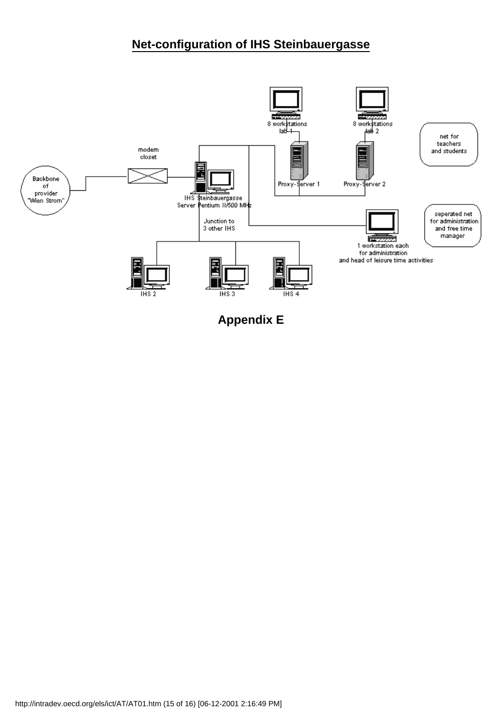## **Net-configuration of IHS Steinbauergasse**



**Appendix E**